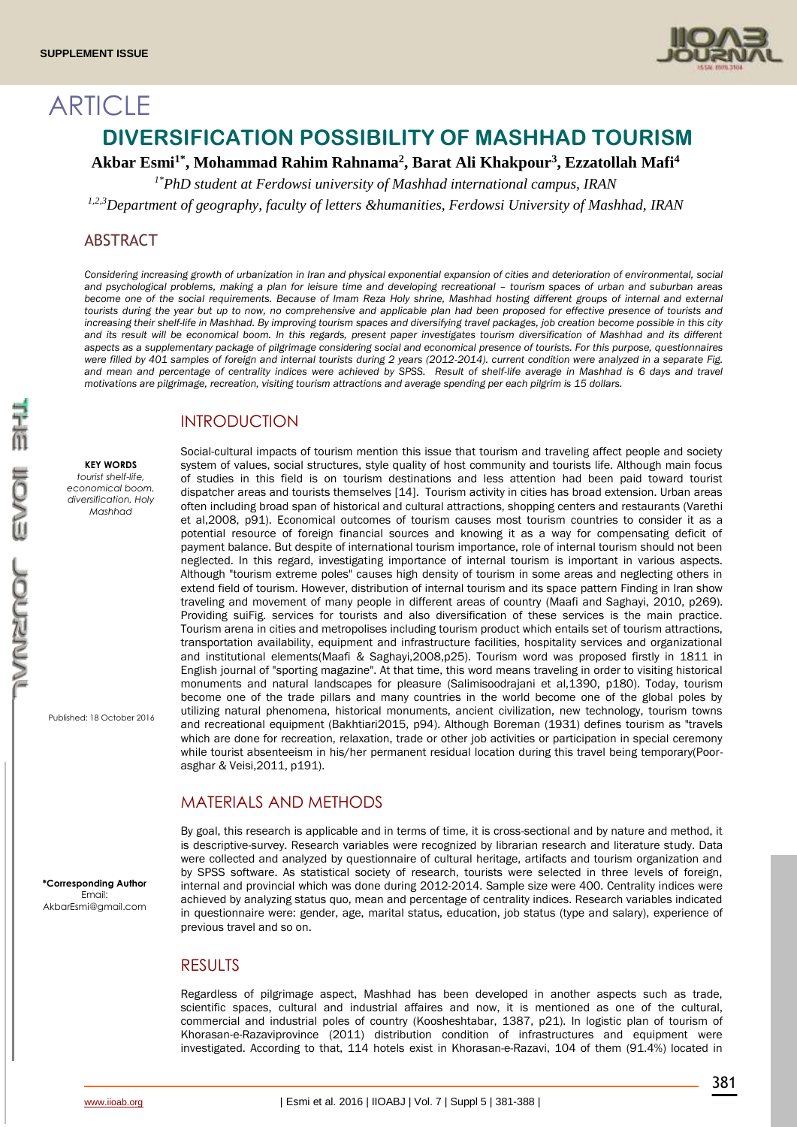**ARTICLE** 



# **DIVERSIFICATION POSSIBILITY OF MASHHAD TOURISM**

**Akbar Esmi1\* , Mohammad Rahim Rahnama<sup>2</sup> , Barat Ali Khakpour<sup>3</sup> , Ezzatollah Mafi<sup>4</sup>**

*1\*PhD student at Ferdowsi university of Mashhad international campus, IRAN*

*1,2,3Department of geography, faculty of letters &humanities, Ferdowsi University of Mashhad, IRAN*

## ABSTRACT

*Considering increasing growth of urbanization in Iran and physical exponential expansion of cities and deterioration of environmental, social*  and psychological problems, making a plan for leisure *time and developing recreational -* tourism spaces of urban and suburban areas become one of the social requirements. Because of Imam Reza Holy shrine, Mashhad hosting different groups of internal and external *tourists during the year but up to now, no comprehensive and applicable plan had been proposed for effective presence of tourists and increasing their shelf-life in Mashhad. By improving tourism spaces and diversifying travel packages, job creation become possible in this city*  and its result will be economical boom. In this regards, present paper investigates tourism diversification of Mashhad and its different *aspects as a supplementary package of pilgrimage considering social and economical presence of tourists. For this purpose, questionnaires were filled by 401 samples of foreign and internal tourists during 2 years (2012-2014). current condition were analyzed in a separate Fig.* and mean and percentage of centrality indices were achieved by SPSS. Result of shelf-life average in Mashhad is 6 days and travel *motivations are pilgrimage, recreation, visiting tourism attractions and average spending per each pilgrim is 15 dollars.*

# INTRODUCTION

**KEY WORDS** *tourist shelf-life, economical boom, diversification, Holy Mashhad*

Published: 18 October 2016

**\*Corresponding Author** Email: AkbarEsmi@gmail.com

Social-cultural impacts of tourism mention this issue that tourism and traveling affect people and society system of values, social structures, style quality of host community and tourists life. Although main focus of studies in this field is on tourism destinations and less attention had been paid toward tourist dispatcher areas and tourists themselves [14]. Tourism activity in cities has broad extension. Urban areas often including broad span of historical and cultural attractions, shopping centers and restaurants (Varethi et al,2008, p91). Economical outcomes of tourism causes most tourism countries to consider it as a potential resource of foreign financial sources and knowing it as a way for compensating deficit of payment balance. But despite of international tourism importance, role of internal tourism should not been neglected. In this regard, investigating importance of internal tourism is important in various aspects. Although "tourism extreme poles" causes high density of tourism in some areas and neglecting others in extend field of tourism. However, distribution of internal tourism and its space pattern Finding in Iran show traveling and movement of many people in different areas of country (Maafi and Saghayi, 2010, p269). Providing suiFig. services for tourists and also diversification of these services is the main practice. Tourism arena in cities and metropolises including tourism product which entails set of tourism attractions, transportation availability, equipment and infrastructure facilities, hospitality services and organizational and institutional elements(Maafi & Saghayi,2008,p25). Tourism word was proposed firstly in 1811 in English journal of "sporting magazine". At that time, this word means traveling in order to visiting historical monuments and natural landscapes for pleasure (Salimisoodrajani et al,1390, p180). Today, tourism become one of the trade pillars and many countries in the world become one of the global poles by utilizing natural phenomena, historical monuments, ancient civilization, new technology, tourism towns and recreational equipment (Bakhtiari2015, p94). Although Boreman (1931) defines tourism as "travels which are done for recreation, relaxation, trade or other job activities or participation in special ceremony while tourist absenteeism in his/her permanent residual location during this travel being temporary(Poorasghar & Veisi,2011, p191).

# MATERIALS AND METHODS

By goal, this research is applicable and in terms of time, it is cross-sectional and by nature and method, it is descriptive-survey. Research variables were recognized by librarian research and literature study. Data were collected and analyzed by questionnaire of cultural heritage, artifacts and tourism organization and by SPSS software. As statistical society of research, tourists were selected in three levels of foreign, internal and provincial which was done during 2012-2014. Sample size were 400. Centrality indices were achieved by analyzing status quo, mean and percentage of centrality indices. Research variables indicated in questionnaire were: gender, age, marital status, education, job status (type and salary), experience of previous travel and so on.

# **RESULTS**

Regardless of pilgrimage aspect, Mashhad has been developed in another aspects such as trade, scientific spaces, cultural and industrial affaires and now, it is mentioned as one of the cultural, commercial and industrial poles of country (Koosheshtabar, 1387, p21). In logistic plan of tourism of Khorasan-e-Razaviprovince (2011) distribution condition of infrastructures and equipment were investigated. According to that, 114 hotels exist in Khorasan-e-Razavi, 104 of them (91.4%) located in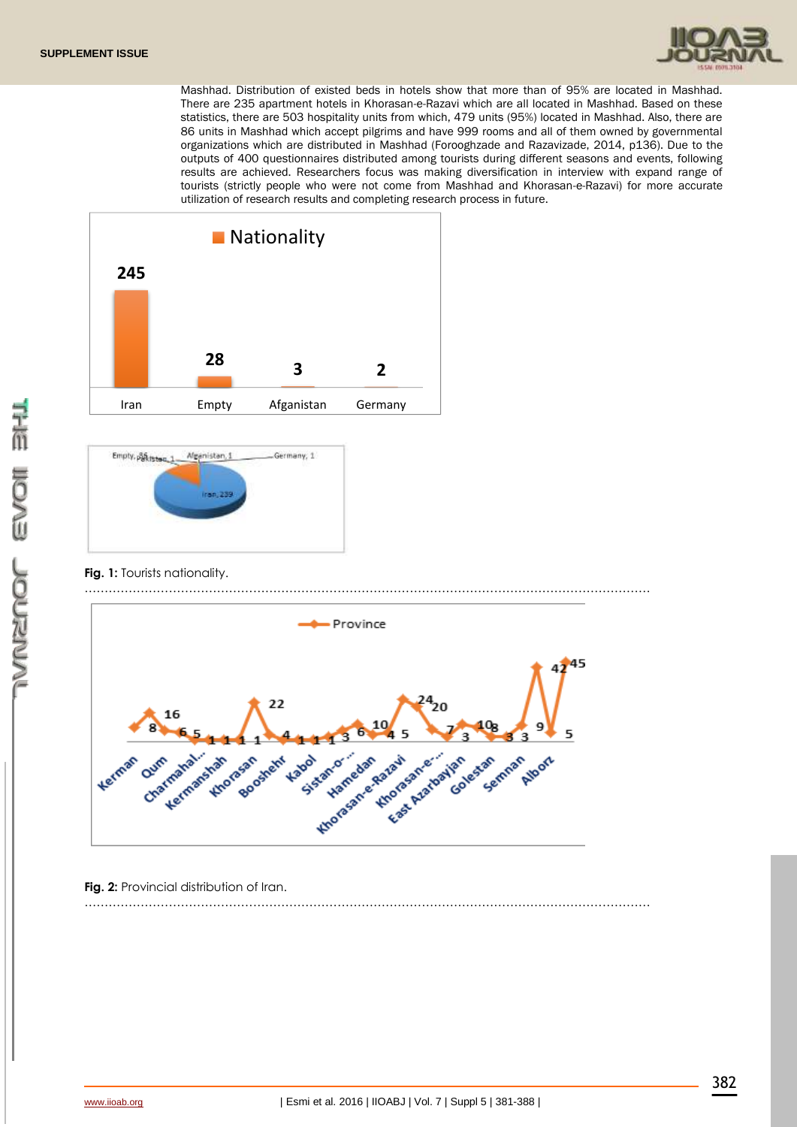

Mashhad. Distribution of existed beds in hotels show that more than of 95% are located in Mashhad. There are 235 apartment hotels in Khorasan-e-Razavi which are all located in Mashhad. Based on these statistics, there are 503 hospitality units from which, 479 units (95%) located in Mashhad. Also, there are 86 units in Mashhad which accept pilgrims and have 999 rooms and all of them owned by governmental organizations which are distributed in Mashhad (Forooghzade and Razavizade, 2014, p136). Due to the outputs of 400 questionnaires distributed among tourists during different seasons and events, following results are achieved. Researchers focus was making diversification in interview with expand range of tourists (strictly people who were not come from Mashhad and Khorasan-e-Razavi) for more accurate utilization of research results and completing research process in future.





**Fig. 1:** Tourists nationality.



……………………………………………………………………………………………………………………………

**Fig. 2:** Provincial distribution of Iran.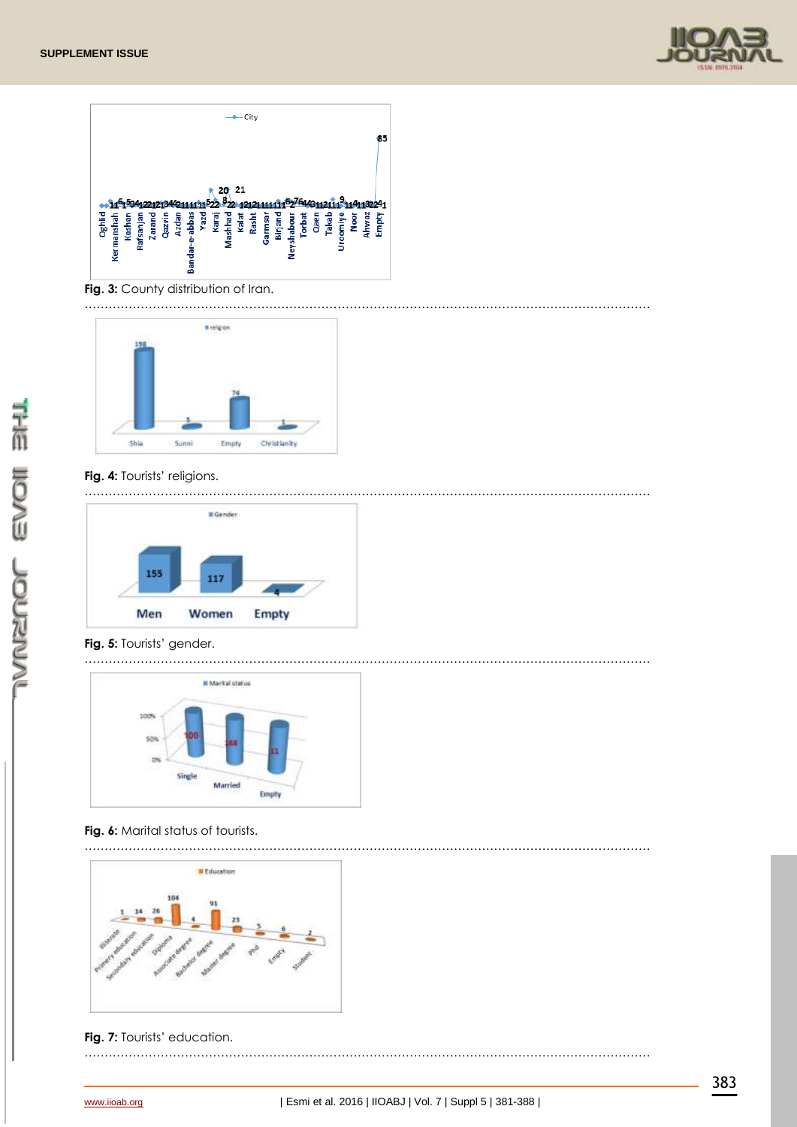



**Fig. 3:** County distribution of Iran.



## **Fig. 4:** Tourists' religions.

…………………………………………………………………………………………………………………………… **Il** Gender 155 117 Men Women Empty

#### **Fig. 5:** Tourists' gender.

……………………………………………………………………………………………………………………………



## **Fig. 6:** Marital status of tourists.

……………………………………………………………………………………………………………………………

……………………………………………………………………………………………………………………………



**Fig. 7:** Tourists' education.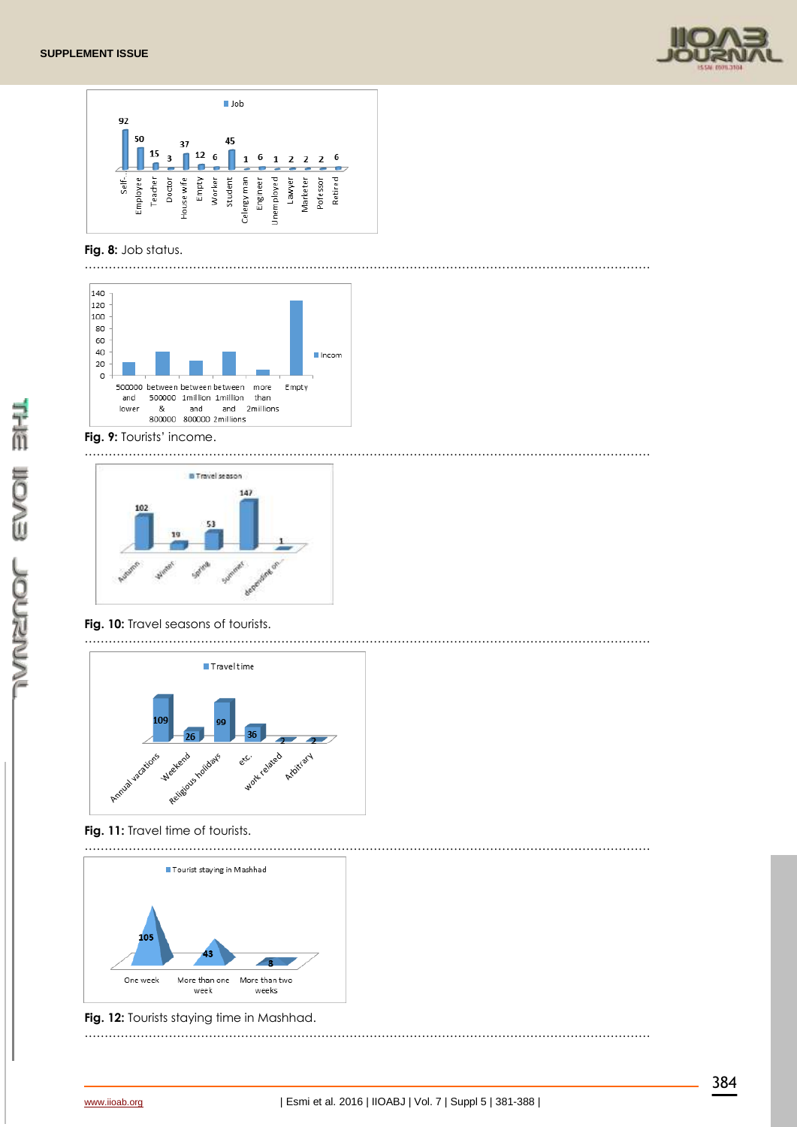



## **Fig. 8:** Job status.



## **Fig. 9:** Tourists' income.



……………………………………………………………………………………………………………………………



# **Fig. 10:** Travel seasons of tourists.



# **Fig. 11:** Travel time of tourists.







……………………………………………………………………………………………………………………………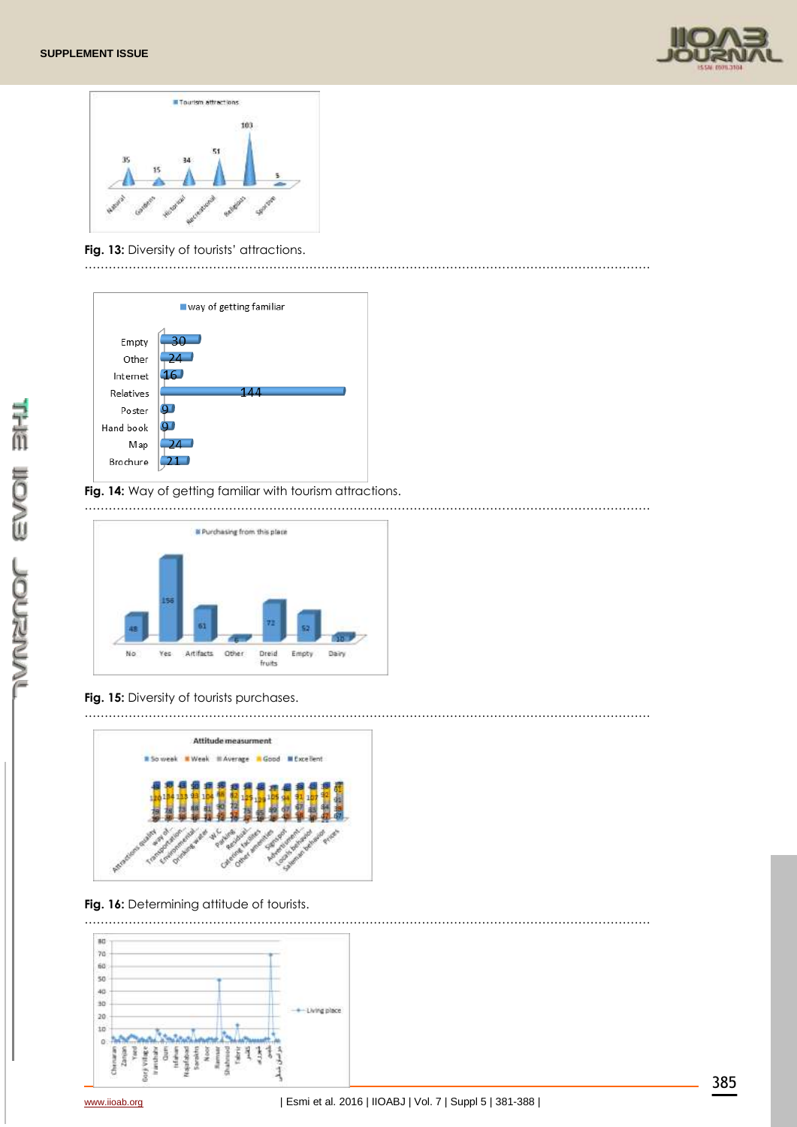



**Fig. 13:** Diversity of tourists' attractions.





## **Fig. 14:** Way of getting familiar with tourism attractions.

……………………………………………………………………………………………………………………………



# **Fig. 15:** Diversity of tourists purchases.



# **Fig. 16:** Determining attitude of tourists.

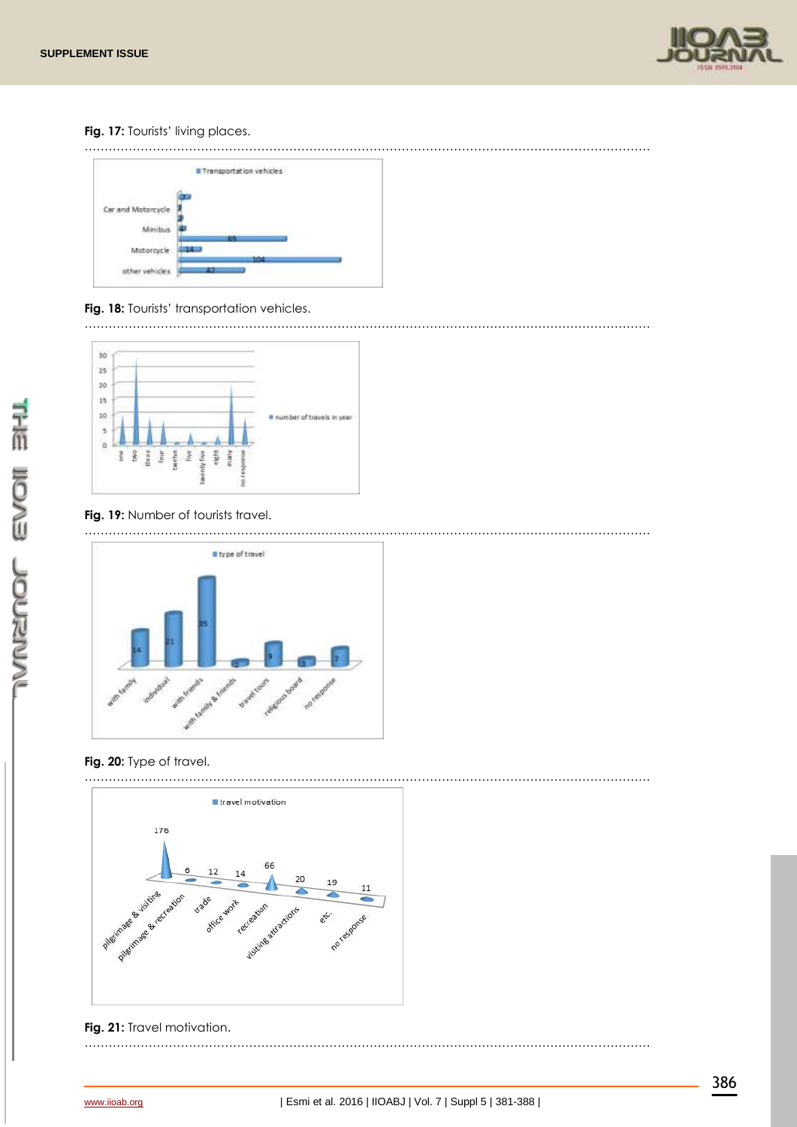

**Fig. 17:** Tourists' living places.





**Fig. 18:** Tourists' transportation vehicles.



# **Fig. 19:** Number of tourists travel.



# **Fig. 20:** Type of travel.



# **Fig. 21:** Travel motivation.

……………………………………………………………………………………………………………………………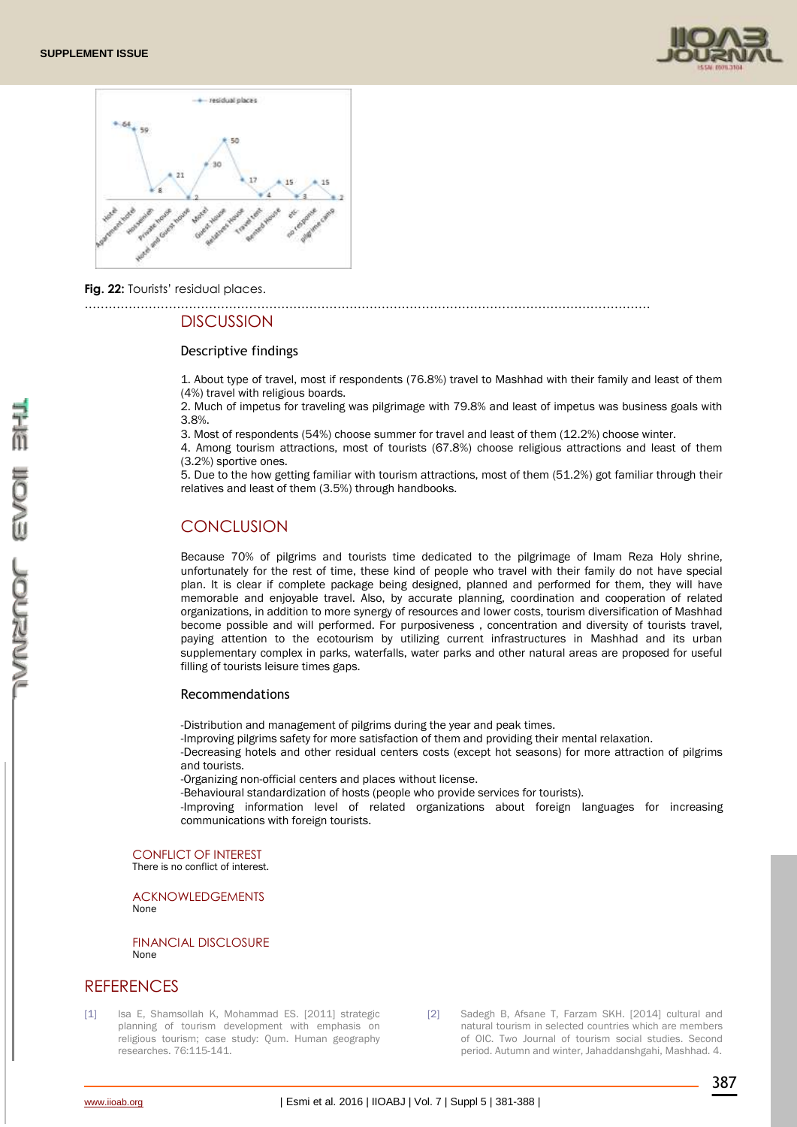



**Fig. 22:** Tourists' residual places.

#### **DISCUSSION**

#### Descriptive findings

1. About type of travel, most if respondents (76.8%) travel to Mashhad with their family and least of them (4%) travel with religious boards.

2. Much of impetus for traveling was pilgrimage with 79.8% and least of impetus was business goals with 3.8%.

3. Most of respondents (54%) choose summer for travel and least of them (12.2%) choose winter.

4. Among tourism attractions, most of tourists (67.8%) choose religious attractions and least of them (3.2%) sportive ones.

5. Due to the how getting familiar with tourism attractions, most of them (51.2%) got familiar through their relatives and least of them (3.5%) through handbooks.

# **CONCLUSION**

Because 70% of pilgrims and tourists time dedicated to the pilgrimage of Imam Reza Holy shrine, unfortunately for the rest of time, these kind of people who travel with their family do not have special plan. It is clear if complete package being designed, planned and performed for them, they will have memorable and enjoyable travel. Also, by accurate planning, coordination and cooperation of related organizations, in addition to more synergy of resources and lower costs, tourism diversification of Mashhad become possible and will performed. For purposiveness , concentration and diversity of tourists travel, paying attention to the ecotourism by utilizing current infrastructures in Mashhad and its urban supplementary complex in parks, waterfalls, water parks and other natural areas are proposed for useful filling of tourists leisure times gaps.

#### Recommendations

-Distribution and management of pilgrims during the year and peak times.

……………………………………………………………………………………………………………………………

-Improving pilgrims safety for more satisfaction of them and providing their mental relaxation.

-Decreasing hotels and other residual centers costs (except hot seasons) for more attraction of pilgrims and tourists.

-Organizing non-official centers and places without license.

-Behavioural standardization of hosts (people who provide services for tourists).

-Improving information level of related organizations about foreign languages for increasing communications with foreign tourists.

CONFLICT OF INTEREST There is no conflict of interest.

ACKNOWLEDGEMENTS None

FINANCIAL DISCLOSURE None

# **REFERENCES**

[1] Isa E, Shamsollah K, Mohammad ES. [2011] strategic planning of tourism development with emphasis on religious tourism; case study: Qum. Human geography researches. 76:115-141.

[2] Sadegh B, Afsane T, Farzam SKH. [2014] cultural and natural tourism in selected countries which are members of OIC. Two Journal of tourism social studies. Second period. Autumn and winter, Jahaddanshgahi, Mashhad. 4.